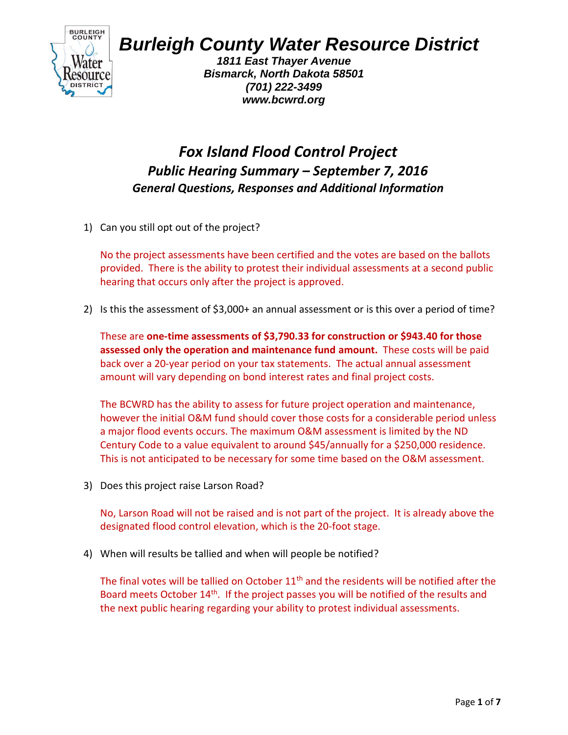

## *Burleigh County Water Resource District*

*1811 East Thayer Avenue Bismarck, North Dakota 58501 (701) 222-3499 www.bcwrd.org*

## *Fox Island Flood Control Project Public Hearing Summary – September 7, 2016 General Questions, Responses and Additional Information*

1) Can you still opt out of the project?

No the project assessments have been certified and the votes are based on the ballots provided. There is the ability to protest their individual assessments at a second public hearing that occurs only after the project is approved.

2) Is this the assessment of \$3,000+ an annual assessment or is this over a period of time?

These are **one-time assessments of \$3,790.33 for construction or \$943.40 for those assessed only the operation and maintenance fund amount.** These costs will be paid back over a 20-year period on your tax statements. The actual annual assessment amount will vary depending on bond interest rates and final project costs.

The BCWRD has the ability to assess for future project operation and maintenance, however the initial O&M fund should cover those costs for a considerable period unless a major flood events occurs. The maximum O&M assessment is limited by the ND Century Code to a value equivalent to around \$45/annually for a \$250,000 residence. This is not anticipated to be necessary for some time based on the O&M assessment.

3) Does this project raise Larson Road?

No, Larson Road will not be raised and is not part of the project. It is already above the designated flood control elevation, which is the 20-foot stage.

4) When will results be tallied and when will people be notified?

The final votes will be tallied on October  $11<sup>th</sup>$  and the residents will be notified after the Board meets October 14<sup>th</sup>. If the project passes you will be notified of the results and the next public hearing regarding your ability to protest individual assessments.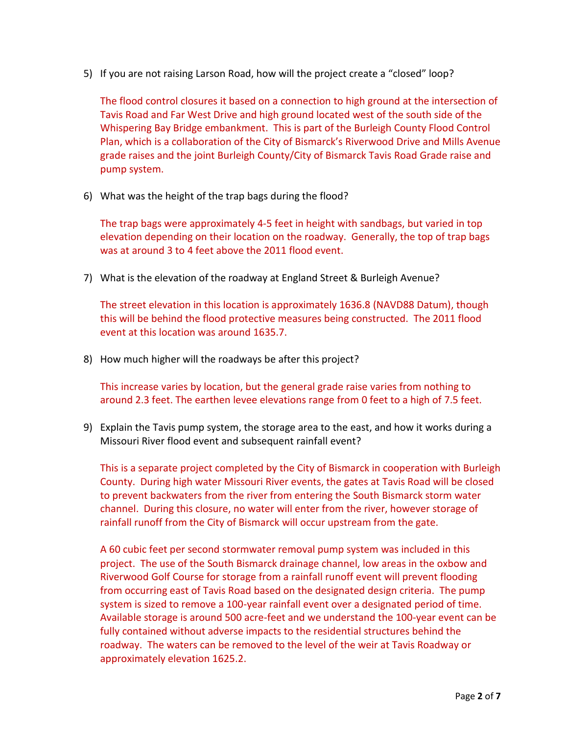5) If you are not raising Larson Road, how will the project create a "closed" loop?

The flood control closures it based on a connection to high ground at the intersection of Tavis Road and Far West Drive and high ground located west of the south side of the Whispering Bay Bridge embankment. This is part of the Burleigh County Flood Control Plan, which is a collaboration of the City of Bismarck's Riverwood Drive and Mills Avenue grade raises and the joint Burleigh County/City of Bismarck Tavis Road Grade raise and pump system.

6) What was the height of the trap bags during the flood?

The trap bags were approximately 4-5 feet in height with sandbags, but varied in top elevation depending on their location on the roadway. Generally, the top of trap bags was at around 3 to 4 feet above the 2011 flood event.

7) What is the elevation of the roadway at England Street & Burleigh Avenue?

The street elevation in this location is approximately 1636.8 (NAVD88 Datum), though this will be behind the flood protective measures being constructed. The 2011 flood event at this location was around 1635.7.

8) How much higher will the roadways be after this project?

This increase varies by location, but the general grade raise varies from nothing to around 2.3 feet. The earthen levee elevations range from 0 feet to a high of 7.5 feet.

9) Explain the Tavis pump system, the storage area to the east, and how it works during a Missouri River flood event and subsequent rainfall event?

This is a separate project completed by the City of Bismarck in cooperation with Burleigh County. During high water Missouri River events, the gates at Tavis Road will be closed to prevent backwaters from the river from entering the South Bismarck storm water channel. During this closure, no water will enter from the river, however storage of rainfall runoff from the City of Bismarck will occur upstream from the gate.

A 60 cubic feet per second stormwater removal pump system was included in this project. The use of the South Bismarck drainage channel, low areas in the oxbow and Riverwood Golf Course for storage from a rainfall runoff event will prevent flooding from occurring east of Tavis Road based on the designated design criteria. The pump system is sized to remove a 100-year rainfall event over a designated period of time. Available storage is around 500 acre-feet and we understand the 100-year event can be fully contained without adverse impacts to the residential structures behind the roadway. The waters can be removed to the level of the weir at Tavis Roadway or approximately elevation 1625.2.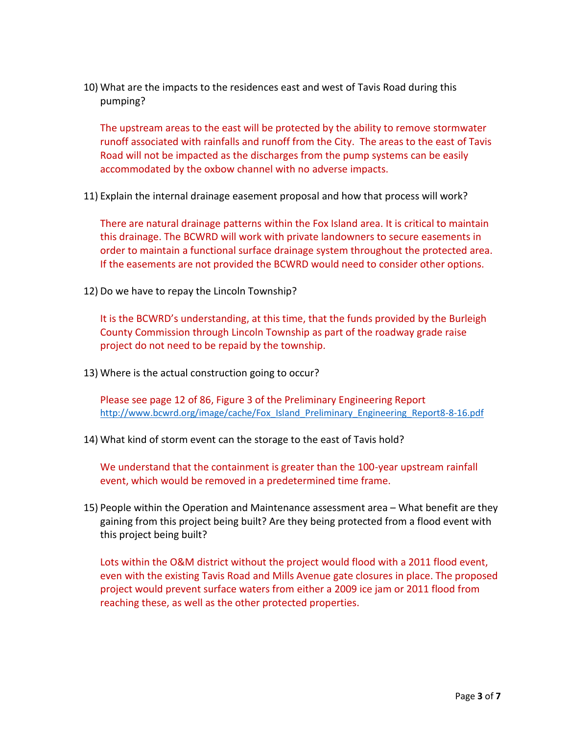10) What are the impacts to the residences east and west of Tavis Road during this pumping?

The upstream areas to the east will be protected by the ability to remove stormwater runoff associated with rainfalls and runoff from the City. The areas to the east of Tavis Road will not be impacted as the discharges from the pump systems can be easily accommodated by the oxbow channel with no adverse impacts.

11) Explain the internal drainage easement proposal and how that process will work?

There are natural drainage patterns within the Fox Island area. It is critical to maintain this drainage. The BCWRD will work with private landowners to secure easements in order to maintain a functional surface drainage system throughout the protected area. If the easements are not provided the BCWRD would need to consider other options.

12) Do we have to repay the Lincoln Township?

It is the BCWRD's understanding, at this time, that the funds provided by the Burleigh County Commission through Lincoln Township as part of the roadway grade raise project do not need to be repaid by the township.

13) Where is the actual construction going to occur?

Please see page 12 of 86, Figure 3 of the Preliminary Engineering Report [http://www.bcwrd.org/image/cache/Fox\\_Island\\_Preliminary\\_Engineering\\_Report8-8-16.pdf](http://www.bcwrd.org/image/cache/Fox_Island_Preliminary_Engineering_Report8-8-16.pdf)

14) What kind of storm event can the storage to the east of Tavis hold?

We understand that the containment is greater than the 100-year upstream rainfall event, which would be removed in a predetermined time frame.

15) People within the Operation and Maintenance assessment area – What benefit are they gaining from this project being built? Are they being protected from a flood event with this project being built?

Lots within the O&M district without the project would flood with a 2011 flood event, even with the existing Tavis Road and Mills Avenue gate closures in place. The proposed project would prevent surface waters from either a 2009 ice jam or 2011 flood from reaching these, as well as the other protected properties.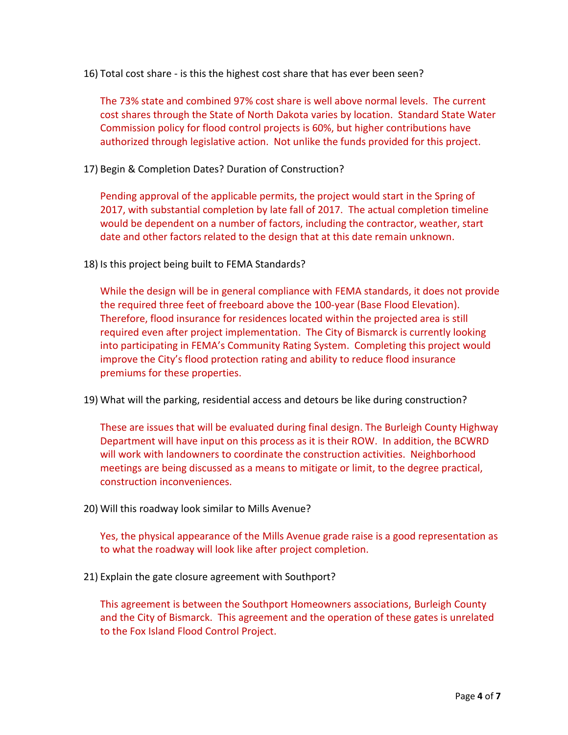16) Total cost share - is this the highest cost share that has ever been seen?

The 73% state and combined 97% cost share is well above normal levels. The current cost shares through the State of North Dakota varies by location. Standard State Water Commission policy for flood control projects is 60%, but higher contributions have authorized through legislative action. Not unlike the funds provided for this project.

17) Begin & Completion Dates? Duration of Construction?

Pending approval of the applicable permits, the project would start in the Spring of 2017, with substantial completion by late fall of 2017. The actual completion timeline would be dependent on a number of factors, including the contractor, weather, start date and other factors related to the design that at this date remain unknown.

18) Is this project being built to FEMA Standards?

While the design will be in general compliance with FEMA standards, it does not provide the required three feet of freeboard above the 100-year (Base Flood Elevation). Therefore, flood insurance for residences located within the projected area is still required even after project implementation. The City of Bismarck is currently looking into participating in FEMA's Community Rating System. Completing this project would improve the City's flood protection rating and ability to reduce flood insurance premiums for these properties.

19) What will the parking, residential access and detours be like during construction?

These are issues that will be evaluated during final design. The Burleigh County Highway Department will have input on this process as it is their ROW. In addition, the BCWRD will work with landowners to coordinate the construction activities. Neighborhood meetings are being discussed as a means to mitigate or limit, to the degree practical, construction inconveniences.

20) Will this roadway look similar to Mills Avenue?

Yes, the physical appearance of the Mills Avenue grade raise is a good representation as to what the roadway will look like after project completion.

21) Explain the gate closure agreement with Southport?

This agreement is between the Southport Homeowners associations, Burleigh County and the City of Bismarck. This agreement and the operation of these gates is unrelated to the Fox Island Flood Control Project.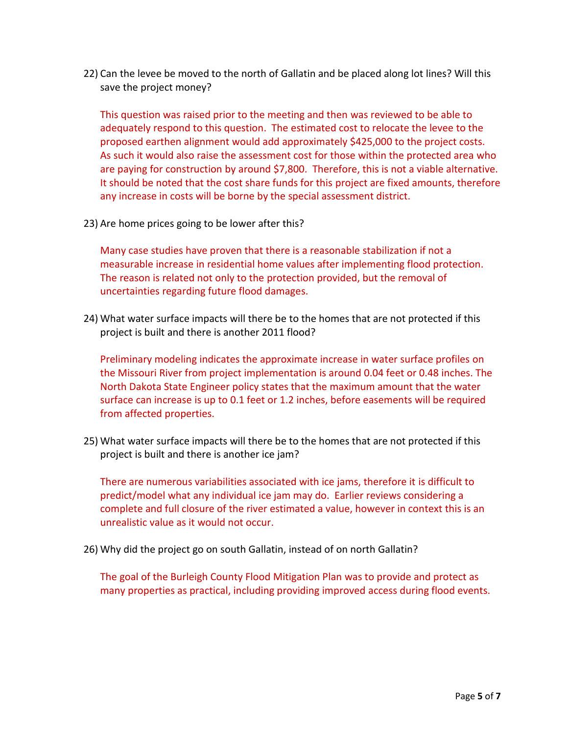22) Can the levee be moved to the north of Gallatin and be placed along lot lines? Will this save the project money?

This question was raised prior to the meeting and then was reviewed to be able to adequately respond to this question. The estimated cost to relocate the levee to the proposed earthen alignment would add approximately \$425,000 to the project costs. As such it would also raise the assessment cost for those within the protected area who are paying for construction by around \$7,800. Therefore, this is not a viable alternative. It should be noted that the cost share funds for this project are fixed amounts, therefore any increase in costs will be borne by the special assessment district.

23) Are home prices going to be lower after this?

Many case studies have proven that there is a reasonable stabilization if not a measurable increase in residential home values after implementing flood protection. The reason is related not only to the protection provided, but the removal of uncertainties regarding future flood damages.

24) What water surface impacts will there be to the homes that are not protected if this project is built and there is another 2011 flood?

Preliminary modeling indicates the approximate increase in water surface profiles on the Missouri River from project implementation is around 0.04 feet or 0.48 inches. The North Dakota State Engineer policy states that the maximum amount that the water surface can increase is up to 0.1 feet or 1.2 inches, before easements will be required from affected properties.

25) What water surface impacts will there be to the homes that are not protected if this project is built and there is another ice jam?

There are numerous variabilities associated with ice jams, therefore it is difficult to predict/model what any individual ice jam may do. Earlier reviews considering a complete and full closure of the river estimated a value, however in context this is an unrealistic value as it would not occur.

26) Why did the project go on south Gallatin, instead of on north Gallatin?

The goal of the Burleigh County Flood Mitigation Plan was to provide and protect as many properties as practical, including providing improved access during flood events.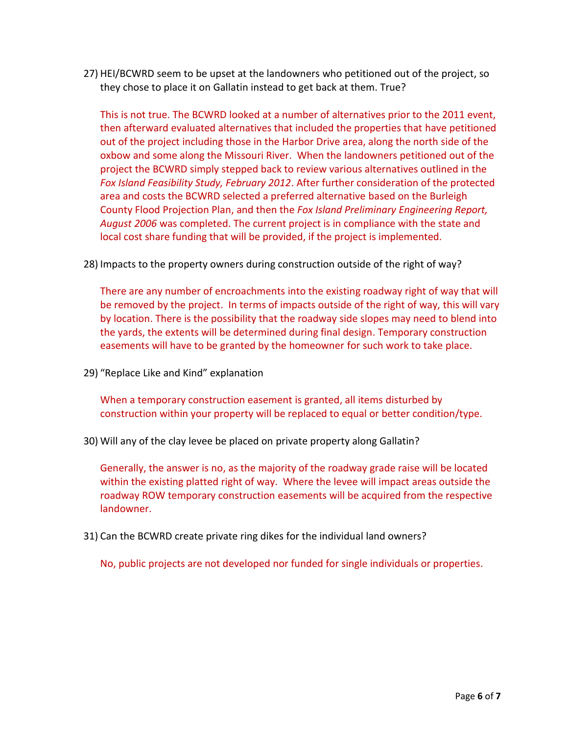27) HEI/BCWRD seem to be upset at the landowners who petitioned out of the project, so they chose to place it on Gallatin instead to get back at them. True?

This is not true. The BCWRD looked at a number of alternatives prior to the 2011 event, then afterward evaluated alternatives that included the properties that have petitioned out of the project including those in the Harbor Drive area, along the north side of the oxbow and some along the Missouri River. When the landowners petitioned out of the project the BCWRD simply stepped back to review various alternatives outlined in the *Fox Island Feasibility Study, February 2012*. After further consideration of the protected area and costs the BCWRD selected a preferred alternative based on the Burleigh County Flood Projection Plan, and then the *Fox Island Preliminary Engineering Report, August 2006* was completed. The current project is in compliance with the state and local cost share funding that will be provided, if the project is implemented.

28) Impacts to the property owners during construction outside of the right of way?

There are any number of encroachments into the existing roadway right of way that will be removed by the project. In terms of impacts outside of the right of way, this will vary by location. There is the possibility that the roadway side slopes may need to blend into the yards, the extents will be determined during final design. Temporary construction easements will have to be granted by the homeowner for such work to take place.

29) "Replace Like and Kind" explanation

When a temporary construction easement is granted, all items disturbed by construction within your property will be replaced to equal or better condition/type.

30) Will any of the clay levee be placed on private property along Gallatin?

Generally, the answer is no, as the majority of the roadway grade raise will be located within the existing platted right of way. Where the levee will impact areas outside the roadway ROW temporary construction easements will be acquired from the respective landowner.

31) Can the BCWRD create private ring dikes for the individual land owners?

No, public projects are not developed nor funded for single individuals or properties.